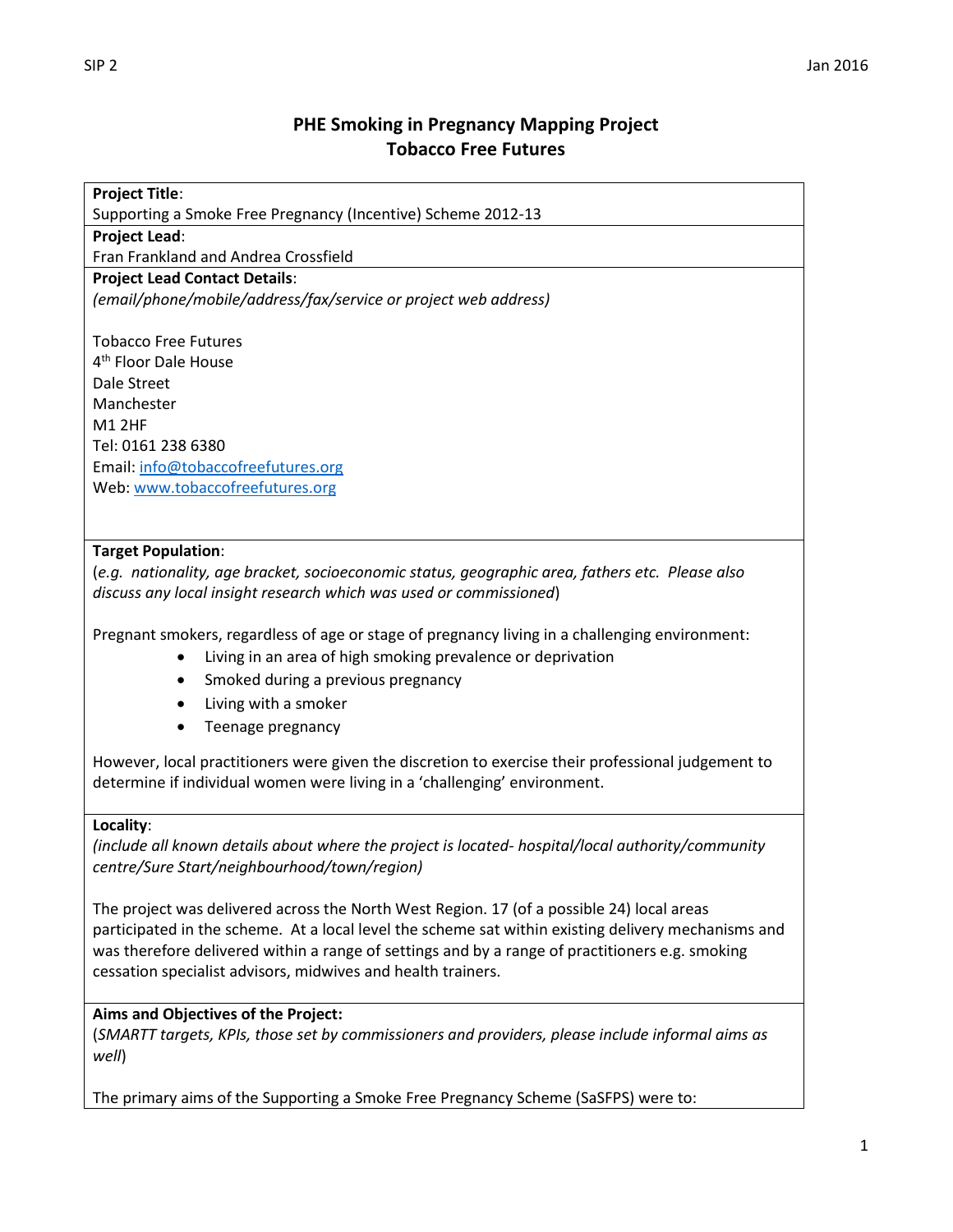# **PHE Smoking in Pregnancy Mapping Project Tobacco Free Futures**

#### **Project Title**:

Supporting a Smoke Free Pregnancy (Incentive) Scheme 2012-13

**Project Lead**:

Fran Frankland and Andrea Crossfield

#### **Project Lead Contact Details**:

*(email/phone/mobile/address/fax/service or project web address)*

Tobacco Free Futures 4 th Floor Dale House Dale Street Manchester M1 2HF Tel: 0161 238 6380 Email[: info@tobaccofreefutures.org](mailto:info@tobaccofreefutures.org) Web: [www.tobaccofreefutures.org](http://www.tobaccofreefutures.org/)

### **Target Population**:

(*e.g. nationality, age bracket, socioeconomic status, geographic area, fathers etc. Please also discuss any local insight research which was used or commissioned*)

Pregnant smokers, regardless of age or stage of pregnancy living in a challenging environment:

- Living in an area of high smoking prevalence or deprivation
- Smoked during a previous pregnancy
- Living with a smoker
- Teenage pregnancy

However, local practitioners were given the discretion to exercise their professional judgement to determine if individual women were living in a 'challenging' environment.

### **Locality**:

*(include all known details about where the project is located- hospital/local authority/community centre/Sure Start/neighbourhood/town/region)*

The project was delivered across the North West Region. 17 (of a possible 24) local areas participated in the scheme. At a local level the scheme sat within existing delivery mechanisms and was therefore delivered within a range of settings and by a range of practitioners e.g. smoking cessation specialist advisors, midwives and health trainers.

### **Aims and Objectives of the Project:**

(*SMARTT targets, KPIs, those set by commissioners and providers, please include informal aims as well*)

The primary aims of the Supporting a Smoke Free Pregnancy Scheme (SaSFPS) were to: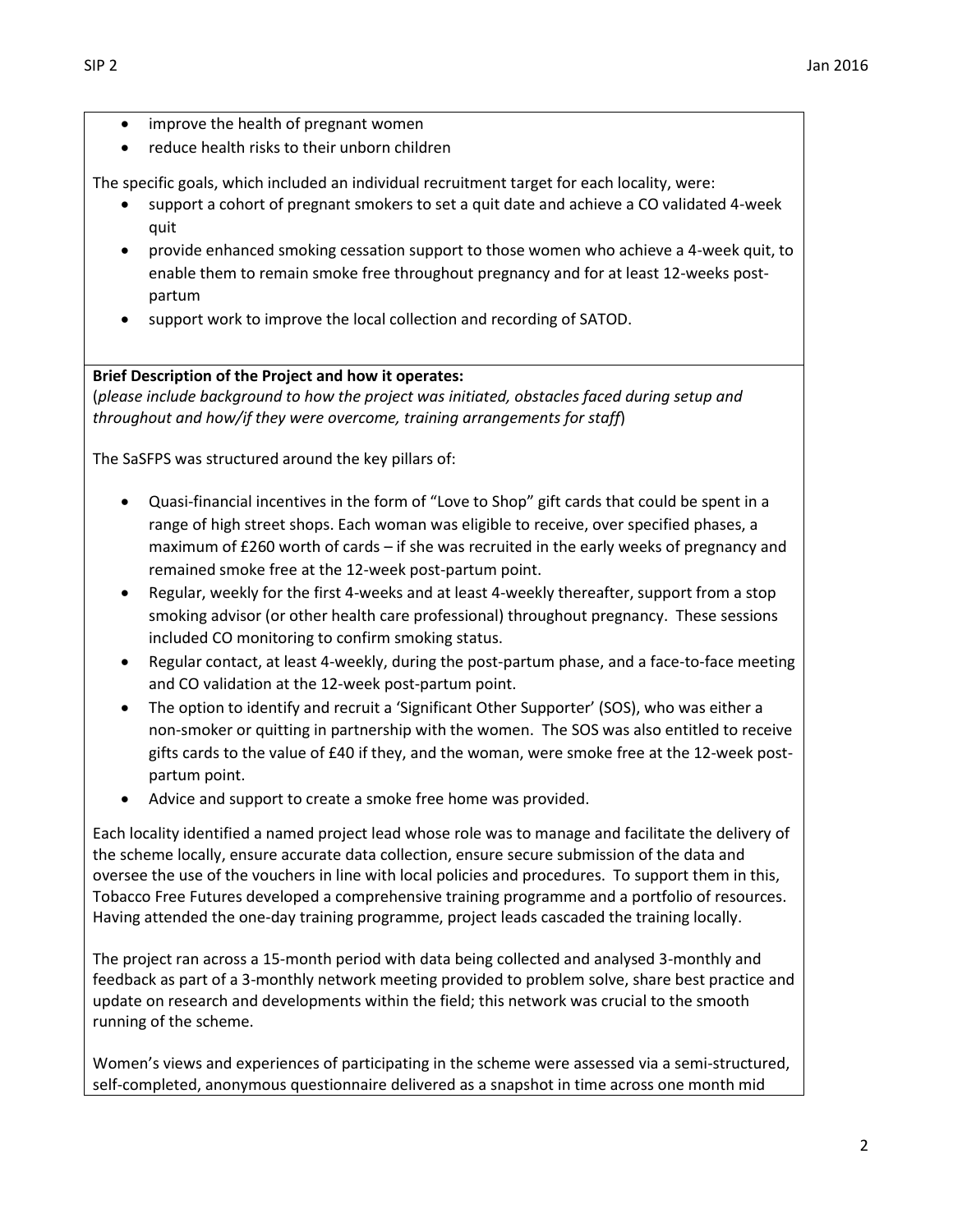- improve the health of pregnant women
- reduce health risks to their unborn children

The specific goals, which included an individual recruitment target for each locality, were:

- support a cohort of pregnant smokers to set a quit date and achieve a CO validated 4-week quit
- provide enhanced smoking cessation support to those women who achieve a 4-week quit, to enable them to remain smoke free throughout pregnancy and for at least 12-weeks postpartum
- support work to improve the local collection and recording of SATOD.

## **Brief Description of the Project and how it operates:**

(*please include background to how the project was initiated, obstacles faced during setup and throughout and how/if they were overcome, training arrangements for staff*)

The SaSFPS was structured around the key pillars of:

- Quasi-financial incentives in the form of "Love to Shop" gift cards that could be spent in a range of high street shops. Each woman was eligible to receive, over specified phases, a maximum of £260 worth of cards – if she was recruited in the early weeks of pregnancy and remained smoke free at the 12-week post-partum point.
- Regular, weekly for the first 4-weeks and at least 4-weekly thereafter, support from a stop smoking advisor (or other health care professional) throughout pregnancy. These sessions included CO monitoring to confirm smoking status.
- Regular contact, at least 4-weekly, during the post-partum phase, and a face-to-face meeting and CO validation at the 12-week post-partum point.
- The option to identify and recruit a 'Significant Other Supporter' (SOS), who was either a non-smoker or quitting in partnership with the women. The SOS was also entitled to receive gifts cards to the value of £40 if they, and the woman, were smoke free at the 12-week postpartum point.
- Advice and support to create a smoke free home was provided.

Each locality identified a named project lead whose role was to manage and facilitate the delivery of the scheme locally, ensure accurate data collection, ensure secure submission of the data and oversee the use of the vouchers in line with local policies and procedures. To support them in this, Tobacco Free Futures developed a comprehensive training programme and a portfolio of resources. Having attended the one-day training programme, project leads cascaded the training locally.

The project ran across a 15-month period with data being collected and analysed 3-monthly and feedback as part of a 3-monthly network meeting provided to problem solve, share best practice and update on research and developments within the field; this network was crucial to the smooth running of the scheme.

Women's views and experiences of participating in the scheme were assessed via a semi-structured, self-completed, anonymous questionnaire delivered as a snapshot in time across one month mid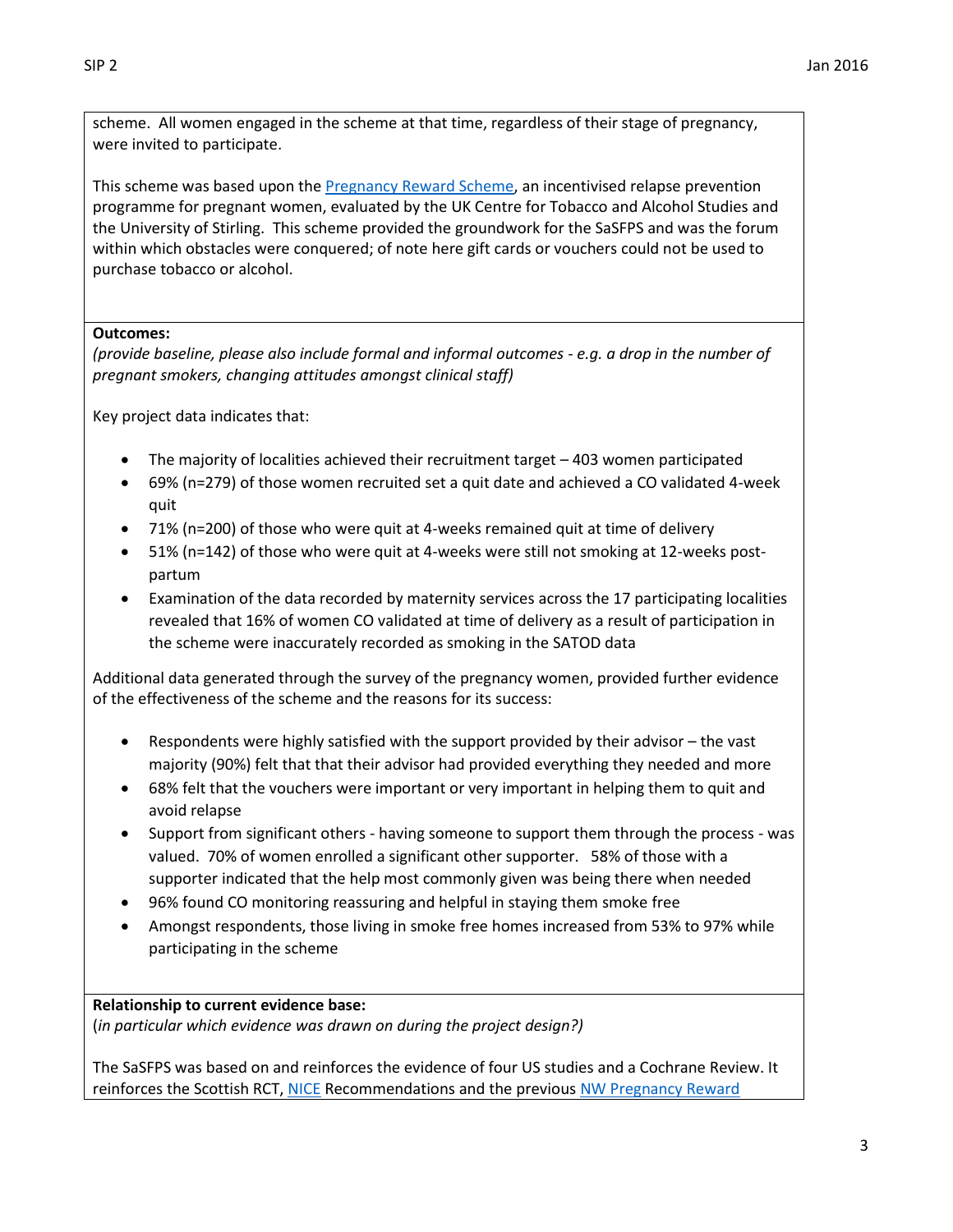scheme. All women engaged in the scheme at that time, regardless of their stage of pregnancy, were invited to participate.

This scheme was based upon the [Pregnancy Reward Scheme,](http://tobaccofreefutures.org/wp-content/uploads/2014/10/Supporting-a-Smokefree-Pregnancy-Scheme-A-Success-Story-Online1.pdf) an incentivised relapse prevention programme for pregnant women, evaluated by the UK Centre for Tobacco and Alcohol Studies and the University of Stirling. This scheme provided the groundwork for the SaSFPS and was the forum within which obstacles were conquered; of note here gift cards or vouchers could not be used to purchase tobacco or alcohol.

### **Outcomes:**

*(provide baseline, please also include formal and informal outcomes - e.g. a drop in the number of pregnant smokers, changing attitudes amongst clinical staff)*

Key project data indicates that:

- The majority of localities achieved their recruitment target 403 women participated
- 69% (n=279) of those women recruited set a quit date and achieved a CO validated 4-week quit
- 71% (n=200) of those who were quit at 4-weeks remained quit at time of delivery
- 51% (n=142) of those who were quit at 4-weeks were still not smoking at 12-weeks postpartum
- Examination of the data recorded by maternity services across the 17 participating localities revealed that 16% of women CO validated at time of delivery as a result of participation in the scheme were inaccurately recorded as smoking in the SATOD data

Additional data generated through the survey of the pregnancy women, provided further evidence of the effectiveness of the scheme and the reasons for its success:

- Respondents were highly satisfied with the support provided by their advisor the vast majority (90%) felt that that their advisor had provided everything they needed and more
- 68% felt that the vouchers were important or very important in helping them to quit and avoid relapse
- Support from significant others having someone to support them through the process was valued. 70% of women enrolled a significant other supporter. 58% of those with a supporter indicated that the help most commonly given was being there when needed
- 96% found CO monitoring reassuring and helpful in staying them smoke free
- Amongst respondents, those living in smoke free homes increased from 53% to 97% while participating in the scheme

### **Relationship to current evidence base:**

(*in particular which evidence was drawn on during the project design?)*

The SaSFPS was based on and reinforces the evidence of four US studies and a Cochrane Review. It reinforces the Scottish RCT, [NICE](http://www.nice.org.uk/guidance/PH26) Recommendations and the previou[s NW Pregnancy Reward](http://tobaccofreefutures.org/wp-content/uploads/2014/10/Supporting-a-Smokefree-Pregnancy-Scheme-A-Success-Story-Online1.pdf)